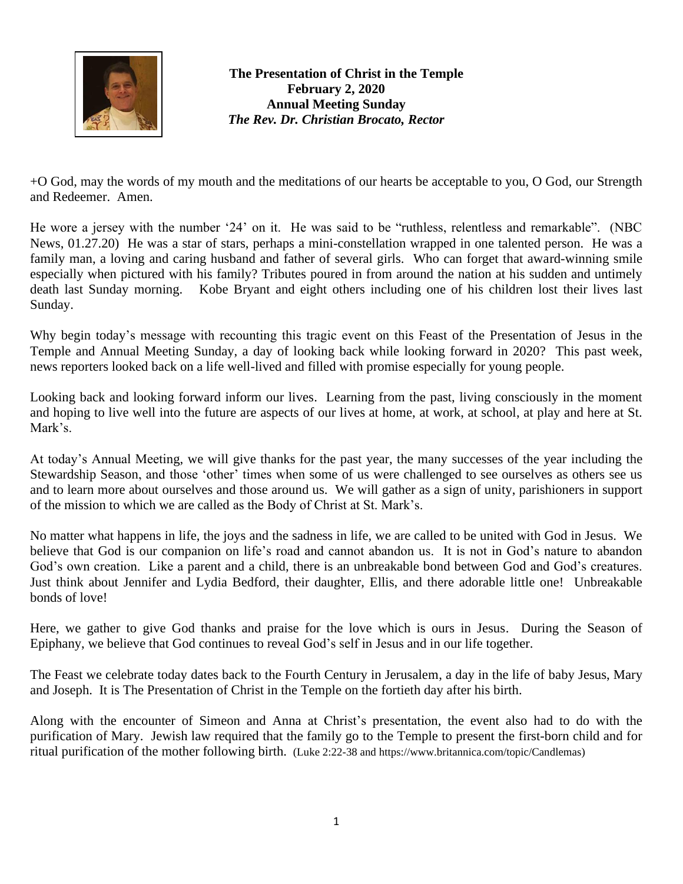

**The Presentation of Christ in the Temple February 2, 2020 Annual Meeting Sunday** *The Rev. Dr. Christian Brocato, Rector*

+O God, may the words of my mouth and the meditations of our hearts be acceptable to you, O God, our Strength and Redeemer. Amen.

He wore a jersey with the number '24' on it. He was said to be "ruthless, relentless and remarkable". (NBC News, 01.27.20) He was a star of stars, perhaps a mini-constellation wrapped in one talented person. He was a family man, a loving and caring husband and father of several girls. Who can forget that award-winning smile especially when pictured with his family? Tributes poured in from around the nation at his sudden and untimely death last Sunday morning. Kobe Bryant and eight others including one of his children lost their lives last Sunday.

Why begin today's message with recounting this tragic event on this Feast of the Presentation of Jesus in the Temple and Annual Meeting Sunday, a day of looking back while looking forward in 2020? This past week, news reporters looked back on a life well-lived and filled with promise especially for young people.

Looking back and looking forward inform our lives. Learning from the past, living consciously in the moment and hoping to live well into the future are aspects of our lives at home, at work, at school, at play and here at St. Mark's.

At today's Annual Meeting, we will give thanks for the past year, the many successes of the year including the Stewardship Season, and those 'other' times when some of us were challenged to see ourselves as others see us and to learn more about ourselves and those around us. We will gather as a sign of unity, parishioners in support of the mission to which we are called as the Body of Christ at St. Mark's.

No matter what happens in life, the joys and the sadness in life, we are called to be united with God in Jesus. We believe that God is our companion on life's road and cannot abandon us. It is not in God's nature to abandon God's own creation. Like a parent and a child, there is an unbreakable bond between God and God's creatures. Just think about Jennifer and Lydia Bedford, their daughter, Ellis, and there adorable little one! Unbreakable bonds of love!

Here, we gather to give God thanks and praise for the love which is ours in Jesus. During the Season of Epiphany, we believe that God continues to reveal God's self in Jesus and in our life together.

The Feast we celebrate today dates back to the Fourth Century in Jerusalem, a day in the life of baby Jesus, Mary and Joseph. It is The Presentation of Christ in the Temple on the fortieth day after his birth.

Along with the encounter of Simeon and Anna at Christ's presentation, the event also had to do with the purification of Mary. Jewish law required that the family go to the Temple to present the first-born child and for ritual purification of the mother following birth. (Luke 2:22-38 an[d https://www.britannica.com/topic/Candlemas\)](https://www.britannica.com/topic/Candlemas)